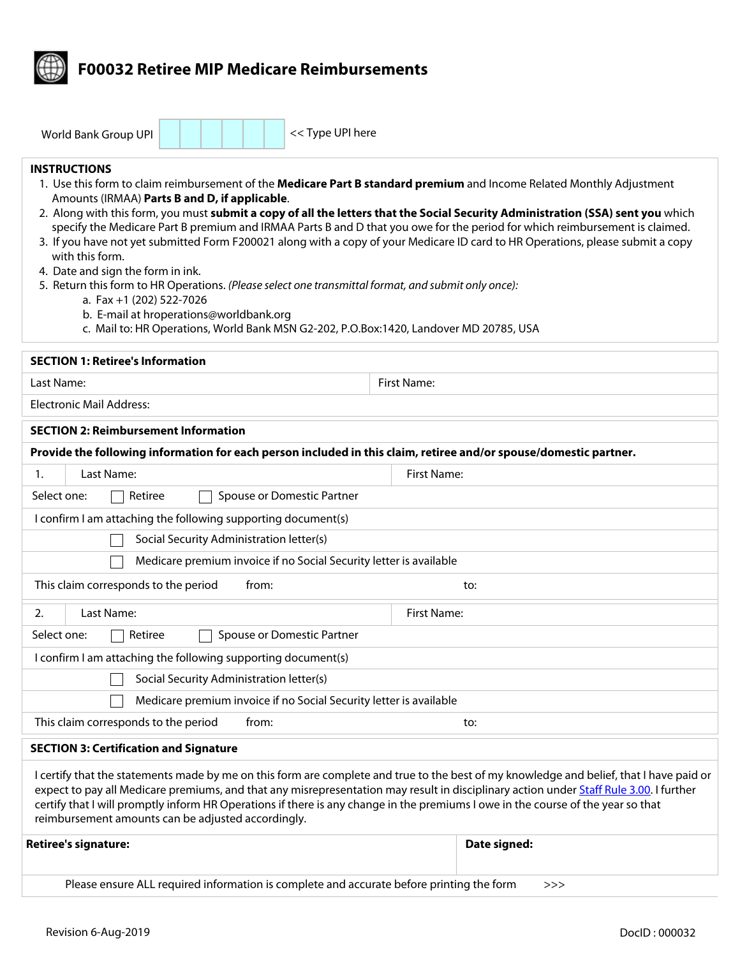

## **F00032 Retiree MIP Medicare Reimbursements**

|  | World Bank Group UPI |  |
|--|----------------------|--|

<< Type UPI here

## **INSTRUCTIONS**

- 1. Use this form to claim reimbursement of the **Medicare Part B standard premium** and Income Related Monthly Adjustment Amounts (IRMAA) **Parts B and D, if applicable**.
- 2. Along with this form, you must **submit a copy of all the letters that the Social Security Administration (SSA) sent you** which specify the Medicare Part B premium and IRMAA Parts B and D that you owe for the period for which reimbursement is claimed.
- 3. If you have not yet submitted Form F200021 along with a copy of your Medicare ID card to HR Operations, please submit a copy with this form.
- 4. Date and sign the form in ink.
- 5. Return this form to HR Operations. *(Please select one transmittal format, and submit only once):* 
	- a. Fax +1 (202) 522-7026
	- b. E-mail at hroperations@worldbank.org
	- c. Mail to: HR Operations, World Bank MSN G2-202, P.O.Box:1420, Landover MD 20785, USA

| <b>SECTION 1: Retiree's Information</b>                                                                                                                                                                                                                                                                                                                                                                                                                                     |                    |
|-----------------------------------------------------------------------------------------------------------------------------------------------------------------------------------------------------------------------------------------------------------------------------------------------------------------------------------------------------------------------------------------------------------------------------------------------------------------------------|--------------------|
| Last Name:                                                                                                                                                                                                                                                                                                                                                                                                                                                                  | <b>First Name:</b> |
| <b>Electronic Mail Address:</b>                                                                                                                                                                                                                                                                                                                                                                                                                                             |                    |
| <b>SECTION 2: Reimbursement Information</b>                                                                                                                                                                                                                                                                                                                                                                                                                                 |                    |
| Provide the following information for each person included in this claim, retiree and/or spouse/domestic partner.                                                                                                                                                                                                                                                                                                                                                           |                    |
| Last Name:<br>1.                                                                                                                                                                                                                                                                                                                                                                                                                                                            | <b>First Name:</b> |
| Select one:<br>Spouse or Domestic Partner<br>Retiree                                                                                                                                                                                                                                                                                                                                                                                                                        |                    |
| I confirm I am attaching the following supporting document(s)                                                                                                                                                                                                                                                                                                                                                                                                               |                    |
| Social Security Administration letter(s)                                                                                                                                                                                                                                                                                                                                                                                                                                    |                    |
| Medicare premium invoice if no Social Security letter is available                                                                                                                                                                                                                                                                                                                                                                                                          |                    |
| This claim corresponds to the period<br>from:                                                                                                                                                                                                                                                                                                                                                                                                                               | to:                |
| Last Name:<br>2.                                                                                                                                                                                                                                                                                                                                                                                                                                                            | First Name:        |
| Select one:<br>Retiree<br>Spouse or Domestic Partner                                                                                                                                                                                                                                                                                                                                                                                                                        |                    |
| I confirm I am attaching the following supporting document(s)                                                                                                                                                                                                                                                                                                                                                                                                               |                    |
| Social Security Administration letter(s)                                                                                                                                                                                                                                                                                                                                                                                                                                    |                    |
| Medicare premium invoice if no Social Security letter is available                                                                                                                                                                                                                                                                                                                                                                                                          |                    |
| This claim corresponds to the period<br>from:                                                                                                                                                                                                                                                                                                                                                                                                                               | to:                |
| <b>SECTION 3: Certification and Signature</b>                                                                                                                                                                                                                                                                                                                                                                                                                               |                    |
| I certify that the statements made by me on this form are complete and true to the best of my knowledge and belief, that I have paid or<br>expect to pay all Medicare premiums, and that any misrepresentation may result in disciplinary action under Staff Rule 3.00. I further<br>certify that I will promptly inform HR Operations if there is any change in the premiums I owe in the course of the year so that<br>reimbursement amounts can be adjusted accordingly. |                    |
| <b>Retiree's signature:</b>                                                                                                                                                                                                                                                                                                                                                                                                                                                 | Date signed:       |

Please ensure ALL required information is complete and accurate before printing the form  $\gg$